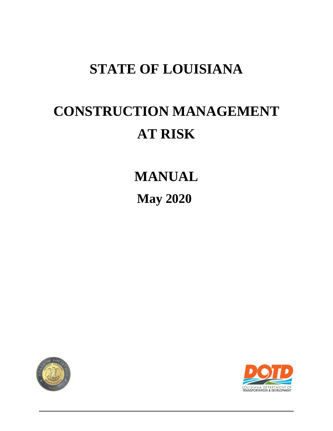## **STATE OF LOUISIANA**

# **CONSTRUCTION MANAGEMENT AT RISK**

**MANUAL May 2020** 



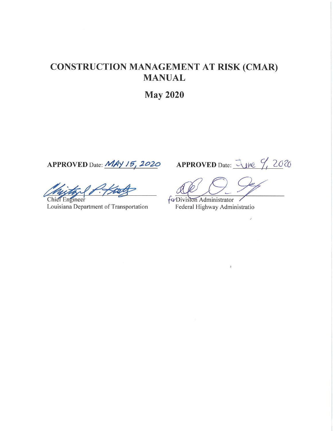### **CONSTRUCTION MANAGEMENT AT RISK (CMAR) MANUAL**

**May 2020** 

APPROVED Date: MAY 15, 2020

Chief Engineer Louisiana Department of Transportation

APPROVED Date: <u>June 9, 20</u>20

 $\lambda$ 

fa Division Administrator Federal Highway Administratio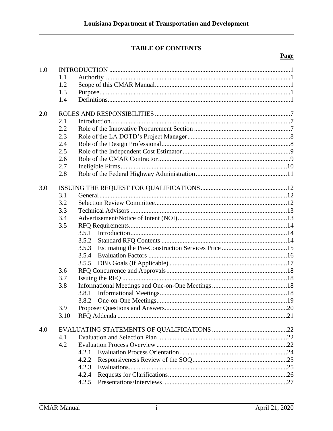#### **TABLE OF CONTENTS**

#### **Page**

| 1.0 |      |       |  |  |  |
|-----|------|-------|--|--|--|
|     | 1.1  |       |  |  |  |
|     | 1.2  |       |  |  |  |
|     | 1.3  |       |  |  |  |
|     | 1.4  |       |  |  |  |
| 2.0 |      |       |  |  |  |
|     | 2.1  |       |  |  |  |
|     | 2.2  |       |  |  |  |
|     | 2.3  |       |  |  |  |
|     | 2.4  |       |  |  |  |
|     | 2.5  |       |  |  |  |
|     | 2.6  |       |  |  |  |
|     | 2.7  |       |  |  |  |
|     | 2.8  |       |  |  |  |
| 3.0 |      |       |  |  |  |
|     | 3.1  |       |  |  |  |
|     | 3.2  |       |  |  |  |
|     | 3.3  |       |  |  |  |
|     | 3.4  |       |  |  |  |
|     | 3.5  |       |  |  |  |
|     |      |       |  |  |  |
|     |      | 3.5.2 |  |  |  |
|     |      | 3.5.3 |  |  |  |
|     |      | 3.5.4 |  |  |  |
|     |      | 3.5.5 |  |  |  |
|     | 3.6  |       |  |  |  |
|     | 3.7  |       |  |  |  |
|     | 3.8  |       |  |  |  |
|     |      | 3.8.1 |  |  |  |
|     |      | 3.8.2 |  |  |  |
|     | 3.9  |       |  |  |  |
|     | 3.10 |       |  |  |  |
| 4.0 |      |       |  |  |  |
|     | 4.1  |       |  |  |  |
|     | 4.2  |       |  |  |  |
|     |      | 4.2.1 |  |  |  |
|     |      | 4.2.2 |  |  |  |
|     |      | 4.2.3 |  |  |  |
|     |      | 4.2.4 |  |  |  |
|     |      | 4.2.5 |  |  |  |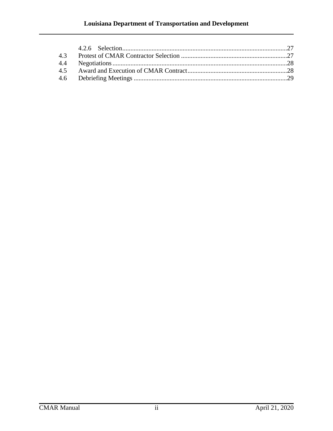#### **Louisiana Department of Transportation and Development**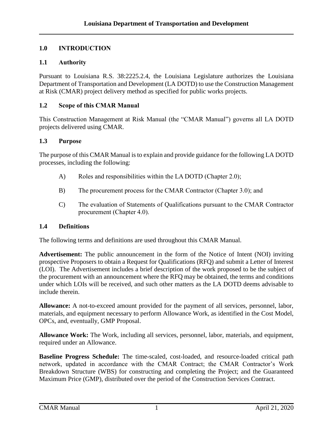#### <span id="page-4-0"></span>**1.0 INTRODUCTION**

#### <span id="page-4-1"></span>**1.1 Authority**

Pursuant to Louisiana R.S. 38:2225.2.4, the Louisiana Legislature authorizes the Louisiana Department of Transportation and Development (LA DOTD) to use the Construction Management at Risk (CMAR) project delivery method as specified for public works projects.

#### <span id="page-4-2"></span>**1.2 Scope of this CMAR Manual**

This Construction Management at Risk Manual (the "CMAR Manual") governs all LA DOTD projects delivered using CMAR.

#### <span id="page-4-3"></span>**1.3 Purpose**

The purpose of this CMAR Manual is to explain and provide guidance for the following LA DOTD processes, including the following:

- A) Roles and responsibilities within the LA DOTD (Chapter 2.0);
- B) The procurement process for the CMAR Contractor (Chapter 3.0); and
- C) The evaluation of Statements of Qualifications pursuant to the CMAR Contractor procurement (Chapter 4.0).

#### <span id="page-4-4"></span>**1.4 Definitions**

The following terms and definitions are used throughout this CMAR Manual.

**Advertisement:** The public announcement in the form of the Notice of Intent (NOI) inviting prospective Proposers to obtain a Request for Qualifications (RFQ) and submit a Letter of Interest (LOI). The Advertisement includes a brief description of the work proposed to be the subject of the procurement with an announcement where the RFQ may be obtained, the terms and conditions under which LOIs will be received, and such other matters as the LA DOTD deems advisable to include therein.

**Allowance:** A not-to-exceed amount provided for the payment of all services, personnel, labor, materials, and equipment necessary to perform Allowance Work, as identified in the Cost Model, OPCs, and, eventually, GMP Proposal.

**Allowance Work:** The Work, including all services, personnel, labor, materials, and equipment, required under an Allowance.

**Baseline Progress Schedule:** The time-scaled, cost-loaded, and resource-loaded critical path network, updated in accordance with the CMAR Contract; the CMAR Contractor's Work Breakdown Structure (WBS) for constructing and completing the Project; and the Guaranteed Maximum Price (GMP), distributed over the period of the Construction Services Contract.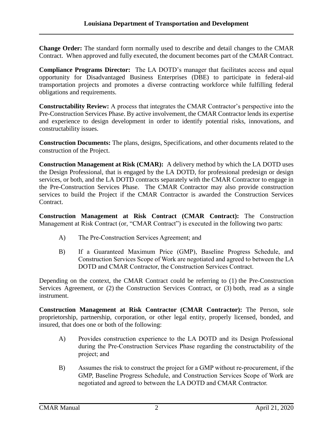**Change Order:** The standard form normally used to describe and detail changes to the CMAR Contract. When approved and fully executed, the document becomes part of the CMAR Contract.

**Compliance Programs Director:** The LA DOTD's manager that facilitates access and equal opportunity for Disadvantaged Business Enterprises (DBE) to participate in federal-aid transportation projects and promotes a diverse contracting workforce while fulfilling federal obligations and requirements.

**Constructability Review:** A process that integrates the CMAR Contractor's perspective into the Pre-Construction Services Phase. By active involvement, the CMAR Contractor lends its expertise and experience to design development in order to identify potential risks, innovations, and constructability issues.

**Construction Documents:** The plans, designs, Specifications, and other documents related to the construction of the Project.

**Construction Management at Risk (CMAR):** A delivery method by which the LA DOTD uses the Design Professional, that is engaged by the LA DOTD, for professional predesign or design services, or both, and the LA DOTD contracts separately with the CMAR Contractor to engage in the Pre-Construction Services Phase. The CMAR Contractor may also provide construction services to build the Project if the CMAR Contractor is awarded the Construction Services Contract.

**Construction Management at Risk Contract (CMAR Contract):** The Construction Management at Risk Contract (or, "CMAR Contract") is executed in the following two parts:

- A) The Pre-Construction Services Agreement; and
- B) If a Guaranteed Maximum Price (GMP), Baseline Progress Schedule, and Construction Services Scope of Work are negotiated and agreed to between the LA DOTD and CMAR Contractor, the Construction Services Contract.

Depending on the context, the CMAR Contract could be referring to (1) the Pre-Construction Services Agreement, or (2) the Construction Services Contract, or (3) both, read as a single instrument.

**Construction Management at Risk Contractor (CMAR Contractor):** The Person, sole proprietorship, partnership, corporation, or other legal entity, properly licensed, bonded, and insured, that does one or both of the following:

- A) Provides construction experience to the LA DOTD and its Design Professional during the Pre-Construction Services Phase regarding the constructability of the project; and
- B) Assumes the risk to construct the project for a GMP without re-procurement, if the GMP, Baseline Progress Schedule, and Construction Services Scope of Work are negotiated and agreed to between the LA DOTD and CMAR Contractor.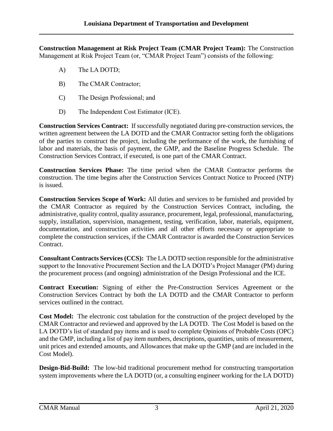**Construction Management at Risk Project Team (CMAR Project Team):** The Construction Management at Risk Project Team (or, "CMAR Project Team") consists of the following:

- A) The LA DOTD;
- B) The CMAR Contractor;
- C) The Design Professional; and
- D) The Independent Cost Estimator (ICE).

**Construction Services Contract:** If successfully negotiated during pre-construction services, the written agreement between the LA DOTD and the CMAR Contractor setting forth the obligations of the parties to construct the project, including the performance of the work, the furnishing of labor and materials, the basis of payment, the GMP, and the Baseline Progress Schedule. The Construction Services Contract, if executed, is one part of the CMAR Contract.

**Construction Services Phase:** The time period when the CMAR Contractor performs the construction. The time begins after the Construction Services Contract Notice to Proceed (NTP) is issued.

**Construction Services Scope of Work:** All duties and services to be furnished and provided by the CMAR Contractor as required by the Construction Services Contract, including, the administrative, quality control, quality assurance, procurement, legal, professional, manufacturing, supply, installation, supervision, management, testing, verification, labor, materials, equipment, documentation, and construction activities and all other efforts necessary or appropriate to complete the construction services, if the CMAR Contractor is awarded the Construction Services Contract.

**Consultant Contracts Services (CCS):** The LA DOTD section responsible for the administrative support to the Innovative Procurement Section and the LA DOTD's Project Manager (PM) during the procurement process (and ongoing) administration of the Design Professional and the ICE.

**Contract Execution:** Signing of either the Pre-Construction Services Agreement or the Construction Services Contract by both the LA DOTD and the CMAR Contractor to perform services outlined in the contract.

**Cost Model:** The electronic cost tabulation for the construction of the project developed by the CMAR Contractor and reviewed and approved by the LA DOTD. The Cost Model is based on the LA DOTD's list of standard pay items and is used to complete Opinions of Probable Costs (OPC) and the GMP, including a list of pay item numbers, descriptions, quantities, units of measurement, unit prices and extended amounts, and Allowances that make up the GMP (and are included in the Cost Model).

**Design-Bid-Build:** The low-bid traditional procurement method for constructing transportation system improvements where the LA DOTD (or, a consulting engineer working for the LA DOTD)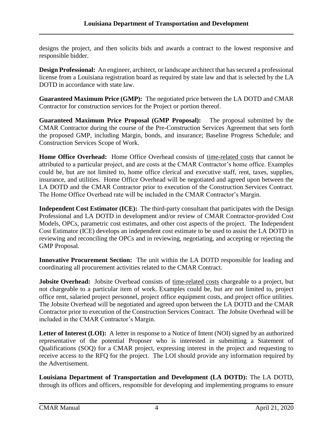designs the project, and then solicits bids and awards a contract to the lowest responsive and responsible bidder.

**Design Professional:** An engineer, architect, or landscape architect that has secured a professional license from a Louisiana registration board as required by state law and that is selected by the LA DOTD in accordance with state law.

**Guaranteed Maximum Price (GMP):** The negotiated price between the LA DOTD and CMAR Contractor for construction services for the Project or portion thereof.

**Guaranteed Maximum Price Proposal (GMP Proposal):** The proposal submitted by the CMAR Contractor during the course of the Pre-Construction Services Agreement that sets forth the proposed GMP, including Margin, bonds, and insurance; Baseline Progress Schedule; and Construction Services Scope of Work.

**Home Office Overhead:** Home Office Overhead consists of time-related costs that cannot be attributed to a particular project, and are costs at the CMAR Contractor's home office. Examples could be, but are not limited to, home office clerical and executive staff, rent, taxes, supplies, insurance, and utilities. Home Office Overhead will be negotiated and agreed upon between the LA DOTD and the CMAR Contractor prior to execution of the Construction Services Contract. The Home Office Overhead rate will be included in the CMAR Contractor's Margin.

**Independent Cost Estimator (ICE):** The third-party consultant that participates with the Design Professional and LA DOTD in development and/or review of CMAR Contractor-provided Cost Models, OPCs, parametric cost estimates, and other cost aspects of the project. The Independent Cost Estimator (ICE) develops an independent cost estimate to be used to assist the LA DOTD in reviewing and reconciling the OPCs and in reviewing, negotiating, and accepting or rejecting the GMP Proposal.

**Innovative Procurement Section:** The unit within the LA DOTD responsible for leading and coordinating all procurement activities related to the CMAR Contract.

**Jobsite Overhead:** Jobsite Overhead consists of time-related costs chargeable to a project, but not chargeable to a particular item of work. Examples could be, but are not limited to, project office rent, salaried project personnel, project office equipment costs, and project office utilities. The Jobsite Overhead will be negotiated and agreed upon between the LA DOTD and the CMAR Contractor prior to execution of the Construction Services Contract. The Jobsite Overhead will be included in the CMAR Contractor's Margin.

Letter of Interest (LOI): A letter in response to a Notice of Intent (NOI) signed by an authorized representative of the potential Proposer who is interested in submitting a Statement of Qualifications (SOQ) for a CMAR project, expressing interest in the project and requesting to receive access to the RFQ for the project. The LOI should provide any information required by the Advertisement.

**Louisiana Department of Transportation and Development (LA DOTD):** The LA DOTD, through its offices and officers, responsible for developing and implementing programs to ensure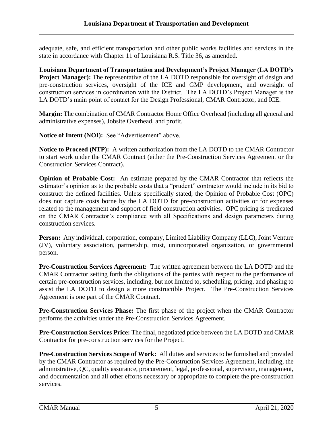adequate, safe, and efficient transportation and other public works facilities and services in the state in accordance with Chapter 11 of Louisiana R.S. Title 36, as amended.

**Louisiana Department of Transportation and Development's Project Manager (LA DOTD's Project Manager):** The representative of the LA DOTD responsible for oversight of design and pre-construction services, oversight of the ICE and GMP development, and oversight of construction services in coordination with the District. The LA DOTD's Project Manager is the LA DOTD's main point of contact for the Design Professional, CMAR Contractor, and ICE.

**Margin:** The combination of CMAR Contractor Home Office Overhead (including all general and administrative expenses), Jobsite Overhead, and profit.

Notice of Intent (NOI): See "Advertisement" above.

**Notice to Proceed (NTP):** A written authorization from the LA DOTD to the CMAR Contractor to start work under the CMAR Contract (either the Pre-Construction Services Agreement or the Construction Services Contract).

**Opinion of Probable Cost:** An estimate prepared by the CMAR Contractor that reflects the estimator's opinion as to the probable costs that a "prudent" contractor would include in its bid to construct the defined facilities. Unless specifically stated, the Opinion of Probable Cost (OPC) does not capture costs borne by the LA DOTD for pre-construction activities or for expenses related to the management and support of field construction activities. OPC pricing is predicated on the CMAR Contractor's compliance with all Specifications and design parameters during construction services.

**Person:** Any individual, corporation, company, Limited Liability Company (LLC), Joint Venture (JV), voluntary association, partnership, trust, unincorporated organization, or governmental person.

**Pre-Construction Services Agreement:** The written agreement between the LA DOTD and the CMAR Contractor setting forth the obligations of the parties with respect to the performance of certain pre-construction services, including, but not limited to, scheduling, pricing, and phasing to assist the LA DOTD to design a more constructible Project. The Pre-Construction Services Agreement is one part of the CMAR Contract.

**Pre-Construction Services Phase:** The first phase of the project when the CMAR Contractor performs the activities under the Pre-Construction Services Agreement.

**Pre-Construction Services Price:** The final, negotiated price between the LA DOTD and CMAR Contractor for pre-construction services for the Project.

**Pre-Construction Services Scope of Work:** All duties and services to be furnished and provided by the CMAR Contractor as required by the Pre-Construction Services Agreement, including, the administrative, QC, quality assurance, procurement, legal, professional, supervision, management, and documentation and all other efforts necessary or appropriate to complete the pre-construction services.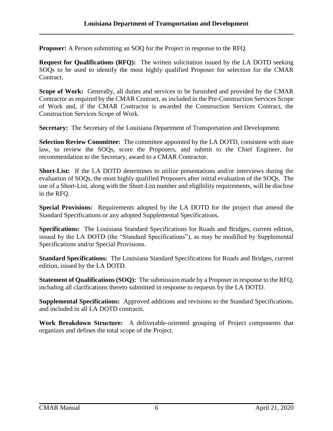**Proposer:** A Person submitting an SOQ for the Project in response to the RFQ.

**Request for Qualifications (RFQ):** The written solicitation issued by the LA DOTD seeking SOQs to be used to identify the most highly qualified Proposer for selection for the CMAR Contract.

**Scope of Work:** Generally, all duties and services to be furnished and provided by the CMAR Contractor as required by the CMAR Contract, as included in the Pre-Construction Services Scope of Work and, if the CMAR Contractor is awarded the Construction Services Contract, the Construction Services Scope of Work.

**Secretary:** The Secretary of the Louisiana Department of Transportation and Development.

**Selection Review Committee:** The committee appointed by the LA DOTD, consistent with state law, to review the SOQs, score the Proposers, and submit to the Chief Engineer, for recommendation to the Secretary, award to a CMAR Contractor.

**Short-List:** If the LA DOTD determines to utilize presentations and/or interviews during the evaluation of SOQs, the most highly qualified Proposers after initial evaluation of the SOQs. The use of a Short-List, along with the Short-List number and eligibility requirements, will be disclose in the RFQ.

**Special Provisions:** Requirements adopted by the LA DOTD for the project that amend the Standard Specifications or any adopted Supplemental Specifications.

**Specifications:** The Louisiana Standard Specifications for Roads and Bridges, current edition, issued by the LA DOTD (the "Standard Specifications"), as may be modified by Supplemental Specifications and/or Special Provisions.

**Standard Specifications:** The Louisiana Standard Specifications for Roads and Bridges, current edition, issued by the LA DOTD.

**Statement of Qualifications (SOQ):** The submission made by a Proposer in response to the RFQ, including all clarifications thereto submitted in response to requests by the LA DOTD.

**Supplemental Specifications:** Approved additions and revisions to the Standard Specifications, and included in all LA DOTD contracts.

**Work Breakdown Structure:** A deliverable-oriented grouping of Project components that organizes and defines the total scope of the Project.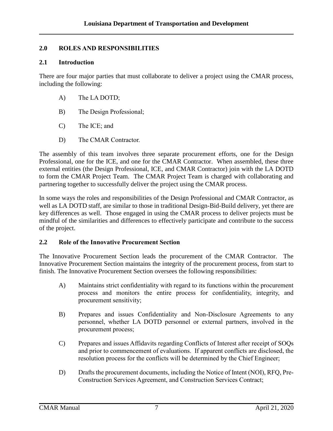#### <span id="page-10-0"></span>**2.0 ROLES AND RESPONSIBILITIES**

#### <span id="page-10-1"></span>**2.1 Introduction**

There are four major parties that must collaborate to deliver a project using the CMAR process, including the following:

- A) The LA DOTD;
- B) The Design Professional;
- C) The ICE; and
- D) The CMAR Contractor.

The assembly of this team involves three separate procurement efforts, one for the Design Professional, one for the ICE, and one for the CMAR Contractor. When assembled, these three external entities (the Design Professional, ICE, and CMAR Contractor) join with the LA DOTD to form the CMAR Project Team. The CMAR Project Team is charged with collaborating and partnering together to successfully deliver the project using the CMAR process.

In some ways the roles and responsibilities of the Design Professional and CMAR Contractor, as well as LA DOTD staff, are similar to those in traditional Design-Bid-Build delivery, yet there are key differences as well. Those engaged in using the CMAR process to deliver projects must be mindful of the similarities and differences to effectively participate and contribute to the success of the project.

#### <span id="page-10-2"></span>**2.2 Role of the Innovative Procurement Section**

The Innovative Procurement Section leads the procurement of the CMAR Contractor. The Innovative Procurement Section maintains the integrity of the procurement process, from start to finish. The Innovative Procurement Section oversees the following responsibilities:

- A) Maintains strict confidentiality with regard to its functions within the procurement process and monitors the entire process for confidentiality, integrity, and procurement sensitivity;
- B) Prepares and issues Confidentiality and Non-Disclosure Agreements to any personnel, whether LA DOTD personnel or external partners, involved in the procurement process;
- C) Prepares and issues Affidavits regarding Conflicts of Interest after receipt of SOQs and prior to commencement of evaluations. If apparent conflicts are disclosed, the resolution process for the conflicts will be determined by the Chief Engineer;
- D) Drafts the procurement documents, including the Notice of Intent (NOI), RFQ, Pre-Construction Services Agreement, and Construction Services Contract;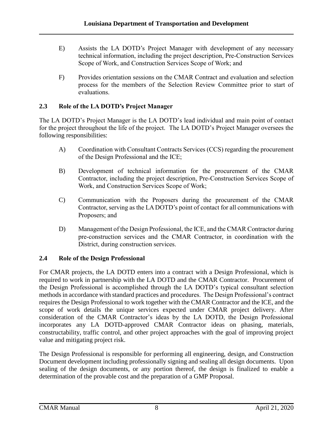- E) Assists the LA DOTD's Project Manager with development of any necessary technical information, including the project description, Pre-Construction Services Scope of Work, and Construction Services Scope of Work; and
- F) Provides orientation sessions on the CMAR Contract and evaluation and selection process for the members of the Selection Review Committee prior to start of evaluations.

#### <span id="page-11-0"></span>**2.3 Role of the LA DOTD's Project Manager**

The LA DOTD's Project Manager is the LA DOTD's lead individual and main point of contact for the project throughout the life of the project. The LA DOTD's Project Manager oversees the following responsibilities:

- A) Coordination with Consultant Contracts Services (CCS) regarding the procurement of the Design Professional and the ICE;
- B) Development of technical information for the procurement of the CMAR Contractor, including the project description, Pre-Construction Services Scope of Work, and Construction Services Scope of Work;
- C) Communication with the Proposers during the procurement of the CMAR Contractor, serving as the LA DOTD's point of contact for all communications with Proposers; and
- D) Management of the Design Professional, the ICE, and the CMAR Contractor during pre-construction services and the CMAR Contractor, in coordination with the District, during construction services.

#### <span id="page-11-1"></span>**2.4 Role of the Design Professional**

For CMAR projects, the LA DOTD enters into a contract with a Design Professional, which is required to work in partnership with the LA DOTD and the CMAR Contractor. Procurement of the Design Professional is accomplished through the LA DOTD's typical consultant selection methods in accordance with standard practices and procedures. The Design Professional's contract requires the Design Professional to work together with the CMAR Contractor and the ICE, and the scope of work details the unique services expected under CMAR project delivery. After consideration of the CMAR Contractor's ideas by the LA DOTD, the Design Professional incorporates any LA DOTD-approved CMAR Contractor ideas on phasing, materials, constructability, traffic control, and other project approaches with the goal of improving project value and mitigating project risk.

The Design Professional is responsible for performing all engineering, design, and Construction Document development including professionally signing and sealing all design documents. Upon sealing of the design documents, or any portion thereof, the design is finalized to enable a determination of the provable cost and the preparation of a GMP Proposal.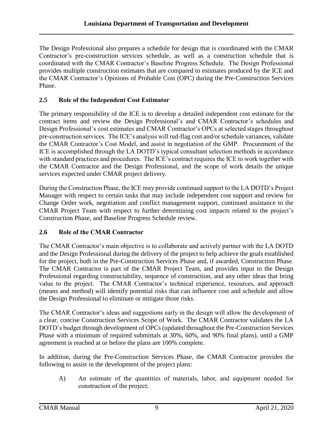The Design Professional also prepares a schedule for design that is coordinated with the CMAR Contractor's pre-construction services schedule, as well as a construction schedule that is coordinated with the CMAR Contractor's Baseline Progress Schedule. The Design Professional provides multiple construction estimates that are compared to estimates produced by the ICE and the CMAR Contractor's Opinions of Probable Cost (OPC) during the Pre-Construction Services Phase.

#### <span id="page-12-0"></span>**2.5 Role of the Independent Cost Estimator**

The primary responsibility of the ICE is to develop a detailed independent cost estimate for the contract items and review the Design Professional's and CMAR Contractor's schedules and Design Professional's cost estimates and CMAR Contractor's OPCs at selected stages throughout pre-construction services. The ICE's analysis will red-flag cost and/or schedule variances, validate the CMAR Contractor's Cost Model, and assist in negotiation of the GMP. Procurement of the ICE is accomplished through the LA DOTD's typical consultant selection methods in accordance with standard practices and procedures. The ICE's contract requires the ICE to work together with the CMAR Contractor and the Design Professional, and the scope of work details the unique services expected under CMAR project delivery.

During the Construction Phase, the ICE may provide continued support to the LA DOTD's Project Manager with respect to certain tasks that may include independent cost support and review for Change Order work, negotiation and conflict management support, continued assistance to the CMAR Project Team with respect to further determining cost impacts related to the project's Construction Phase, and Baseline Progress Schedule review.

#### <span id="page-12-1"></span>**2.6 Role of the CMAR Contractor**

The CMAR Contractor's main objective is to collaborate and actively partner with the LA DOTD and the Design Professional during the delivery of the project to help achieve the goals established for the project, both in the Pre-Construction Services Phase and, if awarded, Construction Phase. The CMAR Contractor is part of the CMAR Project Team, and provides input to the Design Professional regarding constructability, sequence of construction, and any other ideas that bring value to the project. The CMAR Contractor's technical experience, resources, and approach (means and method) will identify potential risks that can influence cost and schedule and allow the Design Professional to eliminate or mitigate those risks.

The CMAR Contractor's ideas and suggestions early in the design will allow the development of a clear, concise Construction Services Scope of Work. The CMAR Contractor validates the LA DOTD's budget through development of OPCs (updated throughout the Pre-Construction Services Phase with a minimum of required submittals at 30%, 60%, and 90% final plans), until a GMP agreement is reached at or before the plans are 100% complete.

In addition, during the Pre-Construction Services Phase, the CMAR Contractor provides the following to assist in the development of the project plans:

A) An estimate of the quantities of materials, labor, and equipment needed for construction of the project;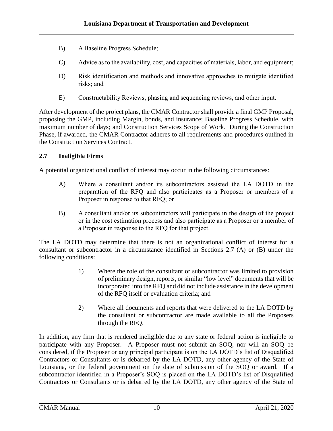- B) A Baseline Progress Schedule;
- C) Advice as to the availability, cost, and capacities of materials, labor, and equipment;
- D) Risk identification and methods and innovative approaches to mitigate identified risks; and
- E) Constructability Reviews, phasing and sequencing reviews, and other input.

After development of the project plans, the CMAR Contractor shall provide a final GMP Proposal, proposing the GMP, including Margin, bonds, and insurance; Baseline Progress Schedule, with maximum number of days; and Construction Services Scope of Work. During the Construction Phase, if awarded, the CMAR Contractor adheres to all requirements and procedures outlined in the Construction Services Contract.

#### <span id="page-13-0"></span>**2.7 Ineligible Firms**

A potential organizational conflict of interest may occur in the following circumstances:

- A) Where a consultant and/or its subcontractors assisted the LA DOTD in the preparation of the RFQ and also participates as a Proposer or members of a Proposer in response to that RFQ; or
- B) A consultant and/or its subcontractors will participate in the design of the project or in the cost estimation process and also participate as a Proposer or a member of a Proposer in response to the RFQ for that project.

The LA DOTD may determine that there is not an organizational conflict of interest for a consultant or subcontractor in a circumstance identified in Sections 2.7 (A) or (B) under the following conditions:

- 1) Where the role of the consultant or subcontractor was limited to provision of preliminary design, reports, or similar "low level" documents that will be incorporated into the RFQ and did not include assistance in the development of the RFQ itself or evaluation criteria; and
- 2) Where all documents and reports that were delivered to the LA DOTD by the consultant or subcontractor are made available to all the Proposers through the RFQ.

In addition, any firm that is rendered ineligible due to any state or federal action is ineligible to participate with any Proposer. A Proposer must not submit an SOQ, nor will an SOQ be considered, if the Proposer or any principal participant is on the LA DOTD's list of Disqualified Contractors or Consultants or is debarred by the LA DOTD, any other agency of the State of Louisiana, or the federal government on the date of submission of the SOQ or award. If a subcontractor identified in a Proposer's SOQ is placed on the LA DOTD's list of Disqualified Contractors or Consultants or is debarred by the LA DOTD, any other agency of the State of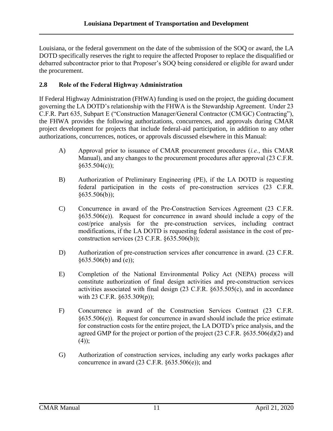Louisiana, or the federal government on the date of the submission of the SOQ or award, the LA DOTD specifically reserves the right to require the affected Proposer to replace the disqualified or debarred subcontractor prior to that Proposer's SOQ being considered or eligible for award under the procurement.

#### <span id="page-14-0"></span>**2.8 Role of the Federal Highway Administration**

If Federal Highway Administration (FHWA) funding is used on the project, the guiding document governing the LA DOTD's relationship with the FHWA is the Stewardship Agreement. Under 23 C.F.R. Part 635, Subpart E ("Construction Manager/General Contractor (CM/GC) Contracting"), the FHWA provides the following authorizations, concurrences, and approvals during CMAR project development for projects that include federal-aid participation, in addition to any other authorizations, concurrences, notices, or approvals discussed elsewhere in this Manual:

- A) Approval prior to issuance of CMAR procurement procedures (*i.e.*, this CMAR Manual), and any changes to the procurement procedures after approval (23 C.F.R.  $§635.504(c)$ :
- B) Authorization of Preliminary Engineering (PE), if the LA DOTD is requesting federal participation in the costs of pre-construction services (23 C.F.R.  $§635.506(b)$ ;
- C) Concurrence in award of the Pre-Construction Services Agreement (23 C.F.R. §635.506(e)). Request for concurrence in award should include a copy of the cost/price analysis for the pre-construction services, including contract modifications, if the LA DOTD is requesting federal assistance in the cost of preconstruction services  $(23 \text{ C.F.R. } §635.506(b))$ ;
- D) Authorization of pre-construction services after concurrence in award. (23 C.F.R.  $§635.506(b)$  and (e));
- E) Completion of the National Environmental Policy Act (NEPA) process will constitute authorization of final design activities and pre-construction services activities associated with final design (23 C.F.R. §635.505(c), and in accordance with 23 C.F.R.  $\frac{635.309(p)}{p}$ ;
- F) Concurrence in award of the Construction Services Contract (23 C.F.R. §635.506(e)). Request for concurrence in award should include the price estimate for construction costs for the entire project, the LA DOTD's price analysis, and the agreed GMP for the project or portion of the project (23 C.F.R. §635.506(d)(2) and  $(4)$ ;
- G) Authorization of construction services, including any early works packages after concurrence in award  $(23 \text{ C.F.R. } §635.506(e))$ ; and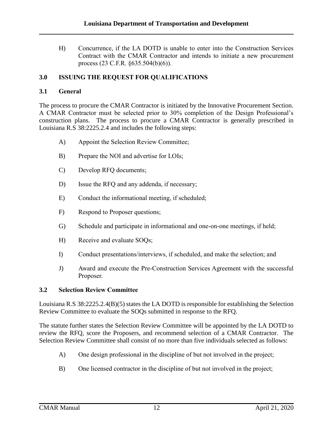H) Concurrence, if the LA DOTD is unable to enter into the Construction Services Contract with the CMAR Contractor and intends to initiate a new procurement process (23 C.F.R. §635.504(b)(6)).

#### <span id="page-15-0"></span>**3.0 ISSUING THE REQUEST FOR QUALIFICATIONS**

#### <span id="page-15-1"></span>**3.1 General**

The process to procure the CMAR Contractor is initiated by the Innovative Procurement Section. A CMAR Contractor must be selected prior to 30% completion of the Design Professional's construction plans. The process to procure a CMAR Contractor is generally prescribed in Louisiana R.S 38:2225.2.4 and includes the following steps:

- A) Appoint the Selection Review Committee;
- B) Prepare the NOI and advertise for LOIs;
- C) Develop RFQ documents;
- D) Issue the RFQ and any addenda, if necessary;
- E) Conduct the informational meeting, if scheduled;
- F) Respond to Proposer questions;
- G) Schedule and participate in informational and one-on-one meetings, if held;
- H) Receive and evaluate SOQs;
- I) Conduct presentations/interviews, if scheduled, and make the selection; and
- J) Award and execute the Pre-Construction Services Agreement with the successful Proposer.

#### <span id="page-15-2"></span>**3.2 Selection Review Committee**

Louisiana R.S 38:2225.2.4(B)(5) states the LA DOTD is responsible for establishing the Selection Review Committee to evaluate the SOQs submitted in response to the RFQ.

The statute further states the Selection Review Committee will be appointed by the LA DOTD to review the RFQ, score the Proposers, and recommend selection of a CMAR Contractor. The Selection Review Committee shall consist of no more than five individuals selected as follows:

- A) One design professional in the discipline of but not involved in the project;
- B) One licensed contractor in the discipline of but not involved in the project;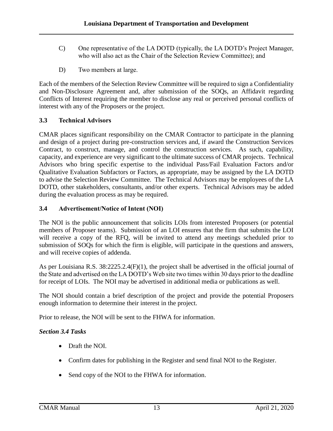- C) One representative of the LA DOTD (typically, the LA DOTD's Project Manager, who will also act as the Chair of the Selection Review Committee); and
- D) Two members at large.

Each of the members of the Selection Review Committee will be required to sign a Confidentiality and Non-Disclosure Agreement and, after submission of the SOQs, an Affidavit regarding Conflicts of Interest requiring the member to disclose any real or perceived personal conflicts of interest with any of the Proposers or the project.

#### <span id="page-16-0"></span>**3.3 Technical Advisors**

CMAR places significant responsibility on the CMAR Contractor to participate in the planning and design of a project during pre-construction services and, if award the Construction Services Contract, to construct, manage, and control the construction services. As such, capability, capacity, and experience are very significant to the ultimate success of CMAR projects. Technical Advisors who bring specific expertise to the individual Pass/Fail Evaluation Factors and/or Qualitative Evaluation Subfactors or Factors, as appropriate, may be assigned by the LA DOTD to advise the Selection Review Committee. The Technical Advisors may be employees of the LA DOTD, other stakeholders, consultants, and/or other experts. Technical Advisors may be added during the evaluation process as may be required.

#### <span id="page-16-1"></span>**3.4 Advertisement/Notice of Intent (NOI)**

The NOI is the public announcement that solicits LOIs from interested Proposers (or potential members of Proposer teams). Submission of an LOI ensures that the firm that submits the LOI will receive a copy of the RFQ, will be invited to attend any meetings scheduled prior to submission of SOQs for which the firm is eligible, will participate in the questions and answers, and will receive copies of addenda.

As per Louisiana R.S. 38:2225.2.4(F)(1), the project shall be advertised in the official journal of the State and advertised on the LA DOTD's Web site two times within 30 days prior to the deadline for receipt of LOIs. The NOI may be advertised in additional media or publications as well.

The NOI should contain a brief description of the project and provide the potential Proposers enough information to determine their interest in the project.

Prior to release, the NOI will be sent to the FHWA for information.

#### *Section 3.4 Tasks*

- Draft the NOI.
- Confirm dates for publishing in the Register and send final NOI to the Register.
- Send copy of the NOI to the FHWA for information.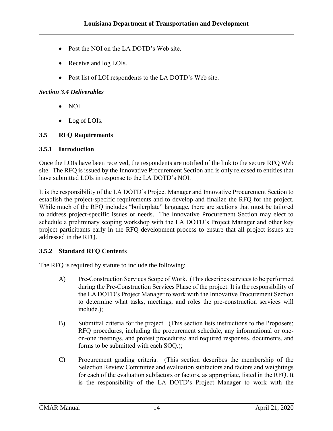- Post the NOI on the LA DOTD's Web site.
- Receive and log LOIs.
- Post list of LOI respondents to the LA DOTD's Web site.

#### *Section 3.4 Deliverables*

- $\bullet$  NOI.
- Log of LOIs.

#### <span id="page-17-0"></span>**3.5 RFQ Requirements**

#### <span id="page-17-1"></span>**3.5.1 Introduction**

Once the LOIs have been received, the respondents are notified of the link to the secure RFQ Web site. The RFQ is issued by the Innovative Procurement Section and is only released to entities that have submitted LOIs in response to the LA DOTD's NOI.

It is the responsibility of the LA DOTD's Project Manager and Innovative Procurement Section to establish the project-specific requirements and to develop and finalize the RFQ for the project. While much of the RFQ includes "boilerplate" language, there are sections that must be tailored to address project-specific issues or needs. The Innovative Procurement Section may elect to schedule a preliminary scoping workshop with the LA DOTD's Project Manager and other key project participants early in the RFQ development process to ensure that all project issues are addressed in the RFQ.

#### <span id="page-17-2"></span>**3.5.2 Standard RFQ Contents**

The RFQ is required by statute to include the following:

- A) Pre-Construction Services Scope of Work. (This describes services to be performed during the Pre-Construction Services Phase of the project. It is the responsibility of the LA DOTD's Project Manager to work with the Innovative Procurement Section to determine what tasks, meetings, and roles the pre-construction services will include.);
- B) Submittal criteria for the project. (This section lists instructions to the Proposers; RFQ procedures, including the procurement schedule, any informational or oneon-one meetings, and protest procedures; and required responses, documents, and forms to be submitted with each SOQ.);
- C) Procurement grading criteria. (This section describes the membership of the Selection Review Committee and evaluation subfactors and factors and weightings for each of the evaluation subfactors or factors, as appropriate, listed in the RFQ. It is the responsibility of the LA DOTD's Project Manager to work with the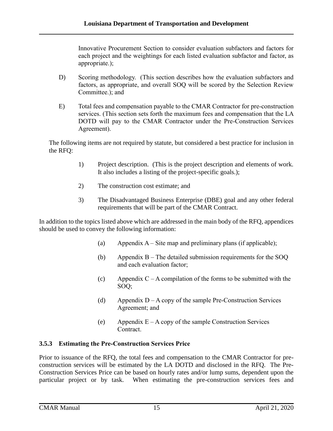Innovative Procurement Section to consider evaluation subfactors and factors for each project and the weightings for each listed evaluation subfactor and factor, as appropriate.);

- D) Scoring methodology. (This section describes how the evaluation subfactors and factors, as appropriate, and overall SOQ will be scored by the Selection Review Committee.); and
- E) Total fees and compensation payable to the CMAR Contractor for pre-construction services. (This section sets forth the maximum fees and compensation that the LA DOTD will pay to the CMAR Contractor under the Pre-Construction Services Agreement).

The following items are not required by statute, but considered a best practice for inclusion in the RFQ:

- 1) Project description. (This is the project description and elements of work. It also includes a listing of the project-specific goals.);
- 2) The construction cost estimate; and
- 3) The Disadvantaged Business Enterprise (DBE) goal and any other federal requirements that will be part of the CMAR Contract.

In addition to the topics listed above which are addressed in the main body of the RFQ, appendices should be used to convey the following information:

- (a) Appendix  $A S$  ite map and preliminary plans (if applicable);
- (b) Appendix B The detailed submission requirements for the SOQ and each evaluation factor;
- (c) Appendix  $C A$  compilation of the forms to be submitted with the SOQ;
- (d) Appendix  $D A$  copy of the sample Pre-Construction Services Agreement; and
- (e) Appendix  $E A$  copy of the sample Construction Services **Contract**

#### <span id="page-18-0"></span>**3.5.3 Estimating the Pre-Construction Services Price**

Prior to issuance of the RFQ, the total fees and compensation to the CMAR Contractor for preconstruction services will be estimated by the LA DOTD and disclosed in the RFQ. The Pre-Construction Services Price can be based on hourly rates and/or lump sums, dependent upon the particular project or by task. When estimating the pre-construction services fees and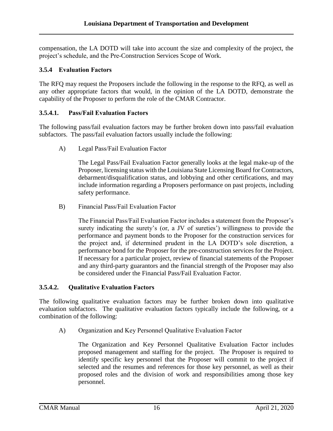compensation, the LA DOTD will take into account the size and complexity of the project, the project's schedule, and the Pre-Construction Services Scope of Work.

#### <span id="page-19-0"></span>**3.5.4 Evaluation Factors**

The RFQ may request the Proposers include the following in the response to the RFQ, as well as any other appropriate factors that would, in the opinion of the LA DOTD, demonstrate the capability of the Proposer to perform the role of the CMAR Contractor.

#### **3.5.4.1. Pass/Fail Evaluation Factors**

The following pass/fail evaluation factors may be further broken down into pass/fail evaluation subfactors. The pass/fail evaluation factors usually include the following:

A) Legal Pass/Fail Evaluation Factor

The Legal Pass/Fail Evaluation Factor generally looks at the legal make-up of the Proposer, licensing status with the Louisiana State Licensing Board for Contractors, debarment/disqualification status, and lobbying and other certifications, and may include information regarding a Proposers performance on past projects, including safety performance.

B) Financial Pass/Fail Evaluation Factor

The Financial Pass/Fail Evaluation Factor includes a statement from the Proposer's surety indicating the surety's (or, a JV of sureties') willingness to provide the performance and payment bonds to the Proposer for the construction services for the project and, if determined prudent in the LA DOTD's sole discretion, a performance bond for the Proposer for the pre-construction services for the Project. If necessary for a particular project, review of financial statements of the Proposer and any third-party guarantors and the financial strength of the Proposer may also be considered under the Financial Pass/Fail Evaluation Factor.

#### **3.5.4.2. Qualitative Evaluation Factors**

The following qualitative evaluation factors may be further broken down into qualitative evaluation subfactors. The qualitative evaluation factors typically include the following, or a combination of the following:

A) Organization and Key Personnel Qualitative Evaluation Factor

The Organization and Key Personnel Qualitative Evaluation Factor includes proposed management and staffing for the project. The Proposer is required to identify specific key personnel that the Proposer will commit to the project if selected and the resumes and references for those key personnel, as well as their proposed roles and the division of work and responsibilities among those key personnel.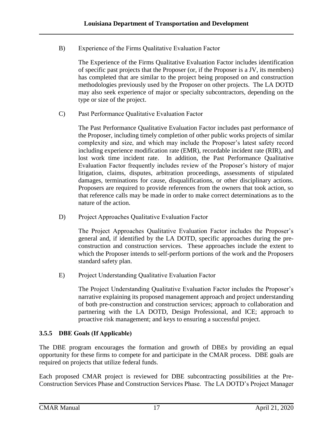B) Experience of the Firms Qualitative Evaluation Factor

The Experience of the Firms Qualitative Evaluation Factor includes identification of specific past projects that the Proposer (or, if the Proposer is a JV, its members) has completed that are similar to the project being proposed on and construction methodologies previously used by the Proposer on other projects. The LA DOTD may also seek experience of major or specialty subcontractors, depending on the type or size of the project.

C) Past Performance Qualitative Evaluation Factor

The Past Performance Qualitative Evaluation Factor includes past performance of the Proposer, including timely completion of other public works projects of similar complexity and size, and which may include the Proposer's latest safety record including experience modification rate (EMR), recordable incident rate (RIR), and lost work time incident rate. In addition, the Past Performance Qualitative Evaluation Factor frequently includes review of the Proposer's history of major litigation, claims, disputes, arbitration proceedings, assessments of stipulated damages, terminations for cause, disqualifications, or other disciplinary actions. Proposers are required to provide references from the owners that took action, so that reference calls may be made in order to make correct determinations as to the nature of the action.

D) Project Approaches Qualitative Evaluation Factor

The Project Approaches Qualitative Evaluation Factor includes the Proposer's general and, if identified by the LA DOTD, specific approaches during the preconstruction and construction services. These approaches include the extent to which the Proposer intends to self-perform portions of the work and the Proposers standard safety plan.

E) Project Understanding Qualitative Evaluation Factor

The Project Understanding Qualitative Evaluation Factor includes the Proposer's narrative explaining its proposed management approach and project understanding of both pre-construction and construction services; approach to collaboration and partnering with the LA DOTD, Design Professional, and ICE; approach to proactive risk management; and keys to ensuring a successful project.

#### <span id="page-20-0"></span>**3.5.5 DBE Goals (If Applicable)**

The DBE program encourages the formation and growth of DBEs by providing an equal opportunity for these firms to compete for and participate in the CMAR process. DBE goals are required on projects that utilize federal funds.

Each proposed CMAR project is reviewed for DBE subcontracting possibilities at the Pre-Construction Services Phase and Construction Services Phase. The LA DOTD's Project Manager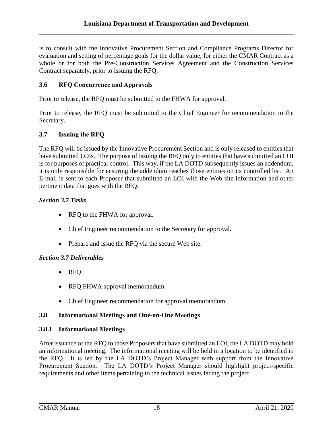is to consult with the Innovative Procurement Section and Compliance Programs Director for evaluation and setting of percentage goals for the dollar value, for either the CMAR Contract as a whole or for both the Pre-Construction Services Agreement and the Construction Services Contract separately, prior to issuing the RFQ.

#### <span id="page-21-0"></span>**3.6 RFQ Concurrence and Approvals**

Prior to release, the RFQ must be submitted to the FHWA for approval.

Prior to release, the RFQ must be submitted to the Chief Engineer for recommendation to the Secretary.

#### <span id="page-21-1"></span>**3.7 Issuing the RFQ**

The RFQ will be issued by the Innovative Procurement Section and is only released to entities that have submitted LOIs. The purpose of issuing the RFO only to entities that have submitted an LOI is for purposes of practical control. This way, if the LA DOTD subsequently issues an addendum, it is only responsible for ensuring the addendum reaches those entities on its controlled list. An E-mail is sent to each Proposer that submitted an LOI with the Web site information and other pertinent data that goes with the RFQ.

#### *Section 3.7 Tasks*

- RFQ to the FHWA for approval.
- Chief Engineer recommendation to the Secretary for approval.
- Prepare and issue the RFQ via the secure Web site.

#### *Section 3.7 Deliverables*

- RFQ.
- RFQ FHWA approval memorandum.
- Chief Engineer recommendation for approval memorandum.

#### <span id="page-21-2"></span>**3.8 Informational Meetings and One-on-One Meetings**

#### <span id="page-21-3"></span>**3.8.1 Informational Meetings**

After issuance of the RFQ to those Proposers that have submitted an LOI, the LA DOTD may hold an informational meeting. The informational meeting will be held in a location to be identified in the RFQ. It is led by the LA DOTD's Project Manager with support from the Innovative Procurement Section. The LA DOTD's Project Manager should highlight project-specific requirements and other items pertaining to the technical issues facing the project.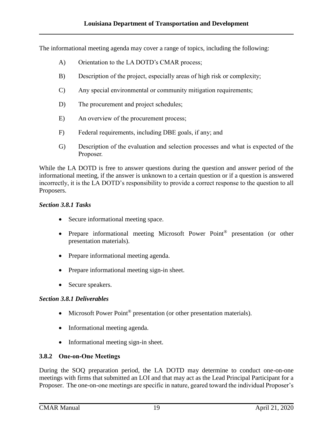The informational meeting agenda may cover a range of topics, including the following:

- A) Orientation to the LA DOTD's CMAR process;
- B) Description of the project, especially areas of high risk or complexity;
- C) Any special environmental or community mitigation requirements;
- D) The procurement and project schedules;
- E) An overview of the procurement process;
- F) Federal requirements, including DBE goals, if any; and
- G) Description of the evaluation and selection processes and what is expected of the Proposer.

While the LA DOTD is free to answer questions during the question and answer period of the informational meeting, if the answer is unknown to a certain question or if a question is answered incorrectly, it is the LA DOTD's responsibility to provide a correct response to the question to all Proposers.

#### *Section 3.8.1 Tasks*

- Secure informational meeting space.
- Prepare informational meeting Microsoft Power Point<sup>®</sup> presentation (or other presentation materials).
- Prepare informational meeting agenda.
- Prepare informational meeting sign-in sheet.
- Secure speakers.

#### *Section 3.8.1 Deliverables*

- Microsoft Power Point<sup>®</sup> presentation (or other presentation materials).
- Informational meeting agenda.
- Informational meeting sign-in sheet.

#### <span id="page-22-0"></span>**3.8.2 One-on-One Meetings**

During the SOQ preparation period, the LA DOTD may determine to conduct one-on-one meetings with firms that submitted an LOI and that may act as the Lead Principal Participant for a Proposer. The one-on-one meetings are specific in nature, geared toward the individual Proposer's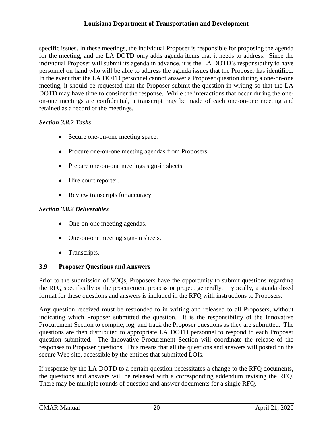specific issues. In these meetings, the individual Proposer is responsible for proposing the agenda for the meeting, and the LA DOTD only adds agenda items that it needs to address. Since the individual Proposer will submit its agenda in advance, it is the LA DOTD's responsibility to have personnel on hand who will be able to address the agenda issues that the Proposer has identified. In the event that the LA DOTD personnel cannot answer a Proposer question during a one-on-one meeting, it should be requested that the Proposer submit the question in writing so that the LA DOTD may have time to consider the response. While the interactions that occur during the oneon-one meetings are confidential, a transcript may be made of each one-on-one meeting and retained as a record of the meetings.

#### *Section 3.8.2 Tasks*

- Secure one-on-one meeting space.
- Procure one-on-one meeting agendas from Proposers.
- Prepare one-on-one meetings sign-in sheets.
- Hire court reporter.
- Review transcripts for accuracy.

#### *Section 3.8.2 Deliverables*

- One-on-one meeting agendas.
- One-on-one meeting sign-in sheets.
- Transcripts.

#### <span id="page-23-0"></span>**3.9 Proposer Questions and Answers**

Prior to the submission of SOQs, Proposers have the opportunity to submit questions regarding the RFQ specifically or the procurement process or project generally. Typically, a standardized format for these questions and answers is included in the RFQ with instructions to Proposers.

Any question received must be responded to in writing and released to all Proposers, without indicating which Proposer submitted the question. It is the responsibility of the Innovative Procurement Section to compile, log, and track the Proposer questions as they are submitted. The questions are then distributed to appropriate LA DOTD personnel to respond to each Proposer question submitted. The Innovative Procurement Section will coordinate the release of the responses to Proposer questions. This means that all the questions and answers will posted on the secure Web site, accessible by the entities that submitted LOIs.

If response by the LA DOTD to a certain question necessitates a change to the RFQ documents, the questions and answers will be released with a corresponding addendum revising the RFQ. There may be multiple rounds of question and answer documents for a single RFQ.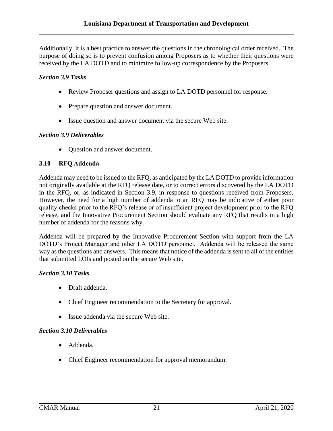Additionally, it is a best practice to answer the questions in the chronological order received. The purpose of doing so is to prevent confusion among Proposers as to whether their questions were received by the LA DOTD and to minimize follow-up correspondence by the Proposers.

#### *Section 3.9 Tasks*

- Review Proposer questions and assign to LA DOTD personnel for response.
- Prepare question and answer document.
- Issue question and answer document via the secure Web site.

#### *Section 3.9 Deliverables*

• Question and answer document.

#### <span id="page-24-0"></span>**3.10 RFQ Addenda**

Addenda may need to be issued to the RFQ, as anticipated by the LA DOTD to provide information not originally available at the RFQ release date, or to correct errors discovered by the LA DOTD in the RFQ, or, as indicated in Section 3.9, in response to questions received from Proposers. However, the need for a high number of addenda to an RFQ may be indicative of either poor quality checks prior to the RFQ's release or of insufficient project development prior to the RFQ release, and the Innovative Procurement Section should evaluate any RFQ that results in a high number of addenda for the reasons why.

Addenda will be prepared by the Innovative Procurement Section with support from the LA DOTD's Project Manager and other LA DOTD personnel. Addenda will be released the same way as the questions and answers. This means that notice of the addenda is sent to all of the entities that submitted LOIs and posted on the secure Web site.

#### *Section 3.10 Tasks*

- Draft addenda.
- Chief Engineer recommendation to the Secretary for approval.
- Issue addenda via the secure Web site.

#### *Section 3.10 Deliverables*

- Addenda.
- Chief Engineer recommendation for approval memorandum.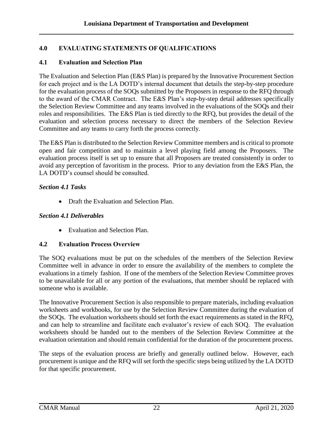#### <span id="page-25-0"></span>**4.0 EVALUATING STATEMENTS OF QUALIFICATIONS**

#### <span id="page-25-1"></span>**4.1 Evaluation and Selection Plan**

The Evaluation and Selection Plan (E&S Plan) is prepared by the Innovative Procurement Section for each project and is the LA DOTD's internal document that details the step-by-step procedure for the evaluation process of the SOQs submitted by the Proposers in response to the RFQ through to the award of the CMAR Contract. The E&S Plan's step-by-step detail addresses specifically the Selection Review Committee and any teams involved in the evaluations of the SOQs and their roles and responsibilities. The E&S Plan is tied directly to the RFQ, but provides the detail of the evaluation and selection process necessary to direct the members of the Selection Review Committee and any teams to carry forth the process correctly.

The E&S Plan is distributed to the Selection Review Committee members and is critical to promote open and fair competition and to maintain a level playing field among the Proposers. The evaluation process itself is set up to ensure that all Proposers are treated consistently in order to avoid any perception of favoritism in the process. Prior to any deviation from the E&S Plan, the LA DOTD's counsel should be consulted.

#### *Section 4.1 Tasks*

• Draft the Evaluation and Selection Plan.

#### *Section 4.1 Deliverables*

• Evaluation and Selection Plan.

#### <span id="page-25-2"></span>**4.2 Evaluation Process Overview**

The SOQ evaluations must be put on the schedules of the members of the Selection Review Committee well in advance in order to ensure the availability of the members to complete the evaluations in a timely fashion. If one of the members of the Selection Review Committee proves to be unavailable for all or any portion of the evaluations, that member should be replaced with someone who is available.

The Innovative Procurement Section is also responsible to prepare materials, including evaluation worksheets and workbooks, for use by the Selection Review Committee during the evaluation of the SOQs. The evaluation worksheets should set forth the exact requirements as stated in the RFQ, and can help to streamline and facilitate each evaluator's review of each SOQ. The evaluation worksheets should be handed out to the members of the Selection Review Committee at the evaluation orientation and should remain confidential for the duration of the procurement process.

The steps of the evaluation process are briefly and generally outlined below. However, each procurement is unique and the RFQ will set forth the specific steps being utilized by the LA DOTD for that specific procurement.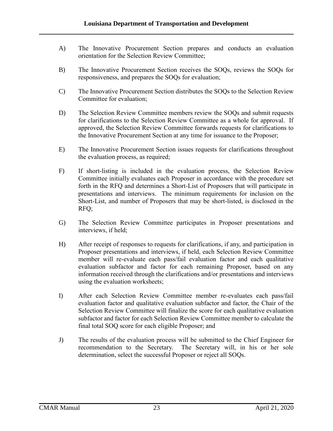- A) The Innovative Procurement Section prepares and conducts an evaluation orientation for the Selection Review Committee;
- B) The Innovative Procurement Section receives the SOQs, reviews the SOQs for responsiveness, and prepares the SOQs for evaluation;
- C) The Innovative Procurement Section distributes the SOQs to the Selection Review Committee for evaluation;
- D) The Selection Review Committee members review the SOQs and submit requests for clarifications to the Selection Review Committee as a whole for approval. If approved, the Selection Review Committee forwards requests for clarifications to the Innovative Procurement Section at any time for issuance to the Proposer;
- E) The Innovative Procurement Section issues requests for clarifications throughout the evaluation process, as required;
- F) If short-listing is included in the evaluation process, the Selection Review Committee initially evaluates each Proposer in accordance with the procedure set forth in the RFQ and determines a Short-List of Proposers that will participate in presentations and interviews. The minimum requirements for inclusion on the Short-List, and number of Proposers that may be short-listed, is disclosed in the RFQ;
- G) The Selection Review Committee participates in Proposer presentations and interviews, if held;
- H) After receipt of responses to requests for clarifications, if any, and participation in Proposer presentations and interviews, if held, each Selection Review Committee member will re-evaluate each pass/fail evaluation factor and each qualitative evaluation subfactor and factor for each remaining Proposer, based on any information received through the clarifications and/or presentations and interviews using the evaluation worksheets;
- I) After each Selection Review Committee member re-evaluates each pass/fail evaluation factor and qualitative evaluation subfactor and factor, the Chair of the Selection Review Committee will finalize the score for each qualitative evaluation subfactor and factor for each Selection Review Committee member to calculate the final total SOQ score for each eligible Proposer; and
- J) The results of the evaluation process will be submitted to the Chief Engineer for recommendation to the Secretary. The Secretary will, in his or her sole determination, select the successful Proposer or reject all SOQs.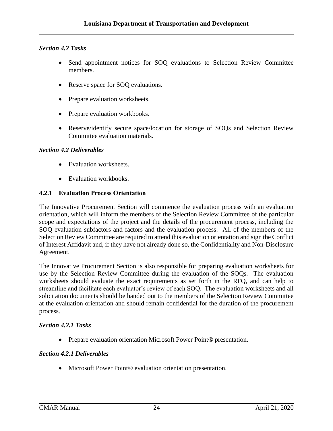#### *Section 4.2 Tasks*

- Send appointment notices for SOQ evaluations to Selection Review Committee members.
- Reserve space for SOQ evaluations.
- Prepare evaluation worksheets.
- Prepare evaluation workbooks.
- Reserve/identify secure space/location for storage of SOQs and Selection Review Committee evaluation materials.

#### *Section 4.2 Deliverables*

- Evaluation worksheets.
- Evaluation workbooks.

#### <span id="page-27-0"></span>**4.2.1 Evaluation Process Orientation**

The Innovative Procurement Section will commence the evaluation process with an evaluation orientation, which will inform the members of the Selection Review Committee of the particular scope and expectations of the project and the details of the procurement process, including the SOQ evaluation subfactors and factors and the evaluation process. All of the members of the Selection Review Committee are required to attend this evaluation orientation and sign the Conflict of Interest Affidavit and, if they have not already done so, the Confidentiality and Non-Disclosure Agreement.

The Innovative Procurement Section is also responsible for preparing evaluation worksheets for use by the Selection Review Committee during the evaluation of the SOQs. The evaluation worksheets should evaluate the exact requirements as set forth in the RFQ, and can help to streamline and facilitate each evaluator's review of each SOQ. The evaluation worksheets and all solicitation documents should be handed out to the members of the Selection Review Committee at the evaluation orientation and should remain confidential for the duration of the procurement process.

#### *Section 4.2.1 Tasks*

● Prepare evaluation orientation Microsoft Power Point<sup>®</sup> presentation.

#### *Section 4.2.1 Deliverables*

● Microsoft Power Point® evaluation orientation presentation.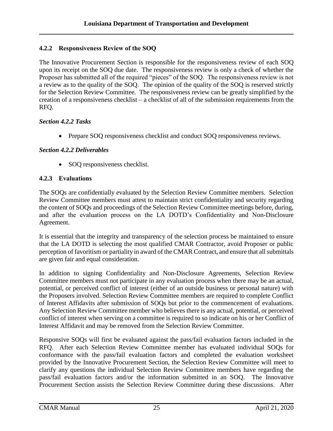#### <span id="page-28-0"></span>**4.2.2 Responsiveness Review of the SOQ**

The Innovative Procurement Section is responsible for the responsiveness review of each SOQ upon its receipt on the SOQ due date. The responsiveness review is only a check of whether the Proposer has submitted all of the required "pieces" of the SOQ. The responsiveness review is not a review as to the quality of the SOQ. The opinion of the quality of the SOQ is reserved strictly for the Selection Review Committee. The responsiveness review can be greatly simplified by the creation of a responsiveness checklist – a checklist of all of the submission requirements from the RFQ.

#### *Section 4.2.2 Tasks*

• Prepare SOQ responsiveness checklist and conduct SOQ responsiveness reviews.

#### *Section 4.2.2 Deliverables*

• SOQ responsiveness checklist.

#### <span id="page-28-1"></span>**4.2.3 Evaluations**

The SOQs are confidentially evaluated by the Selection Review Committee members. Selection Review Committee members must attest to maintain strict confidentiality and security regarding the content of SOQs and proceedings of the Selection Review Committee meetings before, during, and after the evaluation process on the LA DOTD's Confidentiality and Non-Disclosure Agreement.

It is essential that the integrity and transparency of the selection process be maintained to ensure that the LA DOTD is selecting the most qualified CMAR Contractor, avoid Proposer or public perception of favoritism or partiality in award of the CMAR Contract, and ensure that all submittals are given fair and equal consideration.

In addition to signing Confidentiality and Non-Disclosure Agreements, Selection Review Committee members must not participate in any evaluation process when there may be an actual, potential, or perceived conflict of interest (either of an outside business or personal nature) with the Proposers involved. Selection Review Committee members are required to complete Conflict of Interest Affidavits after submission of SOQs but prior to the commencement of evaluations. Any Selection Review Committee member who believes there is any actual, potential, or perceived conflict of interest when serving on a committee is required to so indicate on his or her Conflict of Interest Affidavit and may be removed from the Selection Review Committee.

Responsive SOQs will first be evaluated against the pass/fail evaluation factors included in the RFQ. After each Selection Review Committee member has evaluated individual SOQs for conformance with the pass/fail evaluation factors and completed the evaluation worksheet provided by the Innovative Procurement Section, the Selection Review Committee will meet to clarify any questions the individual Selection Review Committee members have regarding the pass/fail evaluation factors and/or the information submitted in an SOQ. The Innovative Procurement Section assists the Selection Review Committee during these discussions. After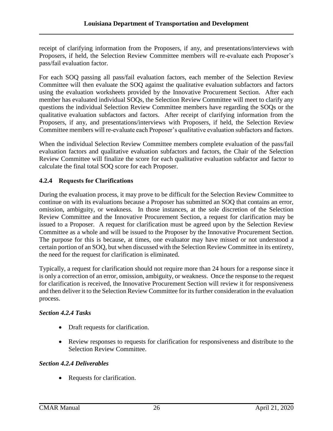receipt of clarifying information from the Proposers, if any, and presentations/interviews with Proposers, if held, the Selection Review Committee members will re-evaluate each Proposer's pass/fail evaluation factor.

For each SOQ passing all pass/fail evaluation factors, each member of the Selection Review Committee will then evaluate the SOQ against the qualitative evaluation subfactors and factors using the evaluation worksheets provided by the Innovative Procurement Section. After each member has evaluated individual SOQs, the Selection Review Committee will meet to clarify any questions the individual Selection Review Committee members have regarding the SOQs or the qualitative evaluation subfactors and factors. After receipt of clarifying information from the Proposers, if any, and presentations/interviews with Proposers, if held, the Selection Review Committee members will re-evaluate each Proposer's qualitative evaluation subfactors and factors.

When the individual Selection Review Committee members complete evaluation of the pass/fail evaluation factors and qualitative evaluation subfactors and factors, the Chair of the Selection Review Committee will finalize the score for each qualitative evaluation subfactor and factor to calculate the final total SOQ score for each Proposer.

#### <span id="page-29-0"></span>**4.2.4 Requests for Clarifications**

During the evaluation process, it may prove to be difficult for the Selection Review Committee to continue on with its evaluations because a Proposer has submitted an SOQ that contains an error, omission, ambiguity, or weakness. In those instances, at the sole discretion of the Selection Review Committee and the Innovative Procurement Section, a request for clarification may be issued to a Proposer. A request for clarification must be agreed upon by the Selection Review Committee as a whole and will be issued to the Proposer by the Innovative Procurement Section. The purpose for this is because, at times, one evaluator may have missed or not understood a certain portion of an SOQ, but when discussed with the Selection Review Committee in its entirety, the need for the request for clarification is eliminated.

Typically, a request for clarification should not require more than 24 hours for a response since it is only a correction of an error, omission, ambiguity, or weakness. Once the response to the request for clarification is received, the Innovative Procurement Section will review it for responsiveness and then deliver it to the Selection Review Committee for its further consideration in the evaluation process.

#### *Section 4.2.4 Tasks*

- Draft requests for clarification.
- Review responses to requests for clarification for responsiveness and distribute to the Selection Review Committee.

#### *Section 4.2.4 Deliverables*

• Requests for clarification.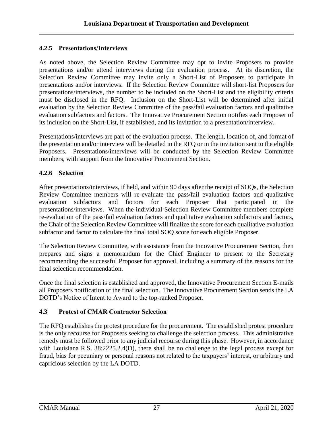#### <span id="page-30-0"></span>**4.2.5 Presentations/Interviews**

As noted above, the Selection Review Committee may opt to invite Proposers to provide presentations and/or attend interviews during the evaluation process. At its discretion, the Selection Review Committee may invite only a Short-List of Proposers to participate in presentations and/or interviews. If the Selection Review Committee will short-list Proposers for presentations/interviews, the number to be included on the Short-List and the eligibility criteria must be disclosed in the RFQ. Inclusion on the Short-List will be determined after initial evaluation by the Selection Review Committee of the pass/fail evaluation factors and qualitative evaluation subfactors and factors. The Innovative Procurement Section notifies each Proposer of its inclusion on the Short-List, if established, and its invitation to a presentation/interview.

Presentations/interviews are part of the evaluation process. The length, location of, and format of the presentation and/or interview will be detailed in the RFQ or in the invitation sent to the eligible Proposers. Presentations/interviews will be conducted by the Selection Review Committee members, with support from the Innovative Procurement Section.

#### <span id="page-30-1"></span>**4.2.6 Selection**

After presentations/interviews, if held, and within 90 days after the receipt of SOQs, the Selection Review Committee members will re-evaluate the pass/fail evaluation factors and qualitative evaluation subfactors and factors for each Proposer that participated in the presentations/interviews. When the individual Selection Review Committee members complete re-evaluation of the pass/fail evaluation factors and qualitative evaluation subfactors and factors, the Chair of the Selection Review Committee will finalize the score for each qualitative evaluation subfactor and factor to calculate the final total SOQ score for each eligible Proposer.

The Selection Review Committee, with assistance from the Innovative Procurement Section, then prepares and signs a memorandum for the Chief Engineer to present to the Secretary recommending the successful Proposer for approval, including a summary of the reasons for the final selection recommendation.

Once the final selection is established and approved, the Innovative Procurement Section E-mails all Proposers notification of the final selection. The Innovative Procurement Section sends the LA DOTD's Notice of Intent to Award to the top-ranked Proposer.

#### <span id="page-30-2"></span>**4.3 Protest of CMAR Contractor Selection**

The RFQ establishes the protest procedure for the procurement. The established protest procedure is the only recourse for Proposers seeking to challenge the selection process. This administrative remedy must be followed prior to any judicial recourse during this phase. However, in accordance with Louisiana R.S. 38:2225.2.4(D), there shall be no challenge to the legal process except for fraud, bias for pecuniary or personal reasons not related to the taxpayers' interest, or arbitrary and capricious selection by the LA DOTD.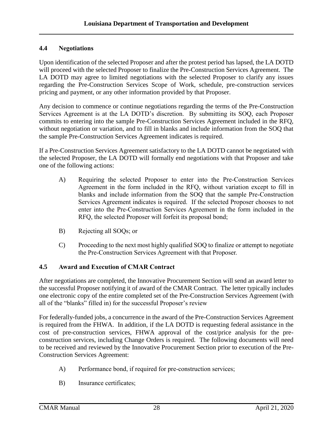#### <span id="page-31-0"></span>**4.4 Negotiations**

Upon identification of the selected Proposer and after the protest period has lapsed, the LA DOTD will proceed with the selected Proposer to finalize the Pre-Construction Services Agreement. The LA DOTD may agree to limited negotiations with the selected Proposer to clarify any issues regarding the Pre-Construction Services Scope of Work, schedule, pre-construction services pricing and payment, or any other information provided by that Proposer.

Any decision to commence or continue negotiations regarding the terms of the Pre-Construction Services Agreement is at the LA DOTD's discretion. By submitting its SOQ, each Proposer commits to entering into the sample Pre-Construction Services Agreement included in the RFQ, without negotiation or variation, and to fill in blanks and include information from the SOQ that the sample Pre-Construction Services Agreement indicates is required.

If a Pre-Construction Services Agreement satisfactory to the LA DOTD cannot be negotiated with the selected Proposer, the LA DOTD will formally end negotiations with that Proposer and take one of the following actions:

- A) Requiring the selected Proposer to enter into the Pre-Construction Services Agreement in the form included in the RFQ, without variation except to fill in blanks and include information from the SOQ that the sample Pre-Construction Services Agreement indicates is required. If the selected Proposer chooses to not enter into the Pre-Construction Services Agreement in the form included in the RFQ, the selected Proposer will forfeit its proposal bond;
- B) Rejecting all SOQs; or
- C) Proceeding to the next most highly qualified SOQ to finalize or attempt to negotiate the Pre-Construction Services Agreement with that Proposer.

#### <span id="page-31-1"></span>**4.5 Award and Execution of CMAR Contract**

After negotiations are completed, the Innovative Procurement Section will send an award letter to the successful Proposer notifying it of award of the CMAR Contract. The letter typically includes one electronic copy of the entire completed set of the Pre-Construction Services Agreement (with all of the "blanks" filled in) for the successful Proposer's review

For federally-funded jobs, a concurrence in the award of the Pre-Construction Services Agreement is required from the FHWA. In addition, if the LA DOTD is requesting federal assistance in the cost of pre-construction services, FHWA approval of the cost/price analysis for the preconstruction services, including Change Orders is required. The following documents will need to be received and reviewed by the Innovative Procurement Section prior to execution of the Pre-Construction Services Agreement:

- A) Performance bond, if required for pre-construction services;
- B) Insurance certificates;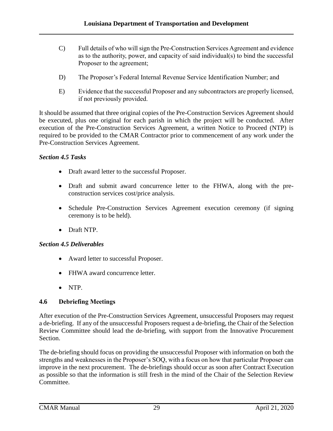- C) Full details of who will sign the Pre-Construction Services Agreement and evidence as to the authority, power, and capacity of said individual(s) to bind the successful Proposer to the agreement;
- D) The Proposer's Federal Internal Revenue Service Identification Number; and
- E) Evidence that the successful Proposer and any subcontractors are properly licensed, if not previously provided.

It should be assumed that three original copies of the Pre-Construction Services Agreement should be executed, plus one original for each parish in which the project will be conducted. After execution of the Pre-Construction Services Agreement, a written Notice to Proceed (NTP) is required to be provided to the CMAR Contractor prior to commencement of any work under the Pre-Construction Services Agreement.

#### *Section 4.5 Tasks*

- Draft award letter to the successful Proposer.
- Draft and submit award concurrence letter to the FHWA, along with the preconstruction services cost/price analysis.
- Schedule Pre-Construction Services Agreement execution ceremony (if signing ceremony is to be held).
- Draft NTP.

#### *Section 4.5 Deliverables*

- Award letter to successful Proposer.
- FHWA award concurrence letter.
- NTP.

#### <span id="page-32-0"></span>**4.6 Debriefing Meetings**

After execution of the Pre-Construction Services Agreement, unsuccessful Proposers may request a de-briefing. If any of the unsuccessful Proposers request a de-briefing, the Chair of the Selection Review Committee should lead the de-briefing, with support from the Innovative Procurement Section.

The de-briefing should focus on providing the unsuccessful Proposer with information on both the strengths and weaknesses in the Proposer's SOQ, with a focus on how that particular Proposer can improve in the next procurement. The de-briefings should occur as soon after Contract Execution as possible so that the information is still fresh in the mind of the Chair of the Selection Review Committee.